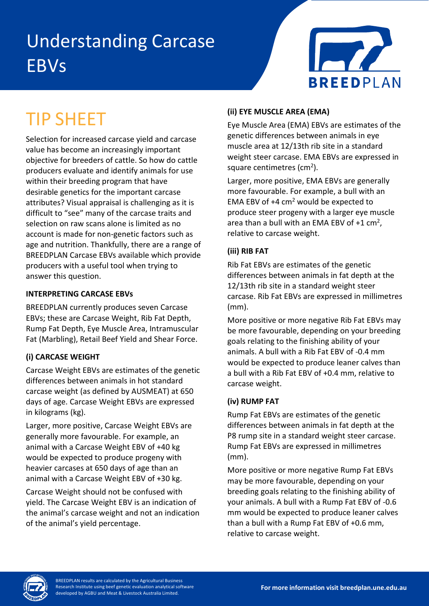# Understanding Carcase **EBVs**



# TIP SHEET

Selection for increased carcase yield and carcase value has become an increasingly important objective for breeders of cattle. So how do cattle producers evaluate and identify animals for use within their breeding program that have desirable genetics for the important carcase attributes? Visual appraisal is challenging as it is difficult to "see" many of the carcase traits and selection on raw scans alone is limited as no account is made for non-genetic factors such as age and nutrition. Thankfully, there are a range of BREEDPLAN Carcase EBVs available which provide producers with a useful tool when trying to answer this question.

#### **INTERPRETING CARCASE EBVs**

BREEDPLAN currently produces seven Carcase EBVs; these are Carcase Weight, Rib Fat Depth, Rump Fat Depth, Eye Muscle Area, Intramuscular Fat (Marbling), Retail Beef Yield and Shear Force.

# **(i) CARCASE WEIGHT**

Carcase Weight EBVs are estimates of the genetic differences between animals in hot standard carcase weight (as defined by AUSMEAT) at 650 days of age. Carcase Weight EBVs are expressed in kilograms (kg).

Larger, more positive, Carcase Weight EBVs are generally more favourable. For example, an animal with a Carcase Weight EBV of +40 kg would be expected to produce progeny with heavier carcases at 650 days of age than an animal with a Carcase Weight EBV of +30 kg.

Carcase Weight should not be confused with yield. The Carcase Weight EBV is an indication of the animal's carcase weight and not an indication of the animal's yield percentage.

# **(ii) EYE MUSCLE AREA (EMA)**

Eye Muscle Area (EMA) EBVs are estimates of the genetic differences between animals in eye muscle area at 12/13th rib site in a standard weight steer carcase. EMA EBVs are expressed in square centimetres ( $\rm cm^2$ ).

Larger, more positive, EMA EBVs are generally more favourable. For example, a bull with an EMA EBV of  $+4$  cm<sup>2</sup> would be expected to produce steer progeny with a larger eye muscle area than a bull with an EMA EBV of  $+1$  cm<sup>2</sup>, relative to carcase weight.

# **(iii) RIB FAT**

Rib Fat EBVs are estimates of the genetic differences between animals in fat depth at the 12/13th rib site in a standard weight steer carcase. Rib Fat EBVs are expressed in millimetres (mm).

More positive or more negative Rib Fat EBVs may be more favourable, depending on your breeding goals relating to the finishing ability of your animals. A bull with a Rib Fat EBV of -0.4 mm would be expected to produce leaner calves than a bull with a Rib Fat EBV of +0.4 mm, relative to carcase weight.

# **(iv) RUMP FAT**

Rump Fat EBVs are estimates of the genetic differences between animals in fat depth at the P8 rump site in a standard weight steer carcase. Rump Fat EBVs are expressed in millimetres (mm).

More positive or more negative Rump Fat EBVs may be more favourable, depending on your breeding goals relating to the finishing ability of your animals. A bull with a Rump Fat EBV of -0.6 mm would be expected to produce leaner calves than a bull with a Rump Fat EBV of +0.6 mm, relative to carcase weight.